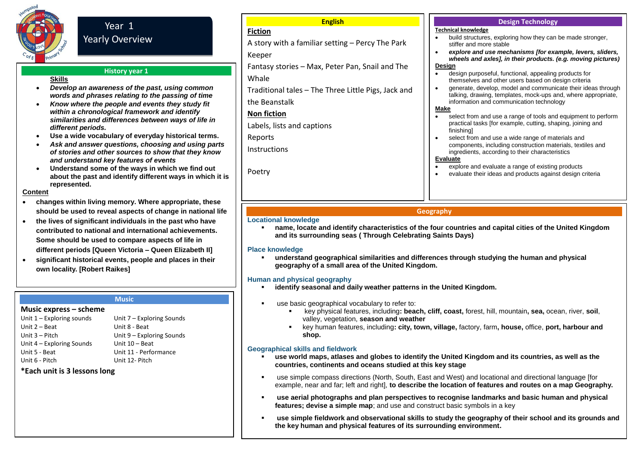

# Year 1 Yearly Overview

# **History year 1**

# **Skills**

- *Develop an awareness of the past, using common words and phrases relating to the passing of time*
- *Know where the people and events they study fit within a chronological framework and identify similarities and differences between ways of life in different periods.*
- **Use a wide vocabulary of everyday historical terms.**
- *Ask and answer questions, choosing and using parts of stories and other sources to show that they know and understand key features of events*
- **Understand some of the ways in which we find out about the past and identify different ways in which it is represented.**

#### **Content**

- **changes within living memory. Where appropriate, these should be used to reveal aspects of change in national life**
- **the lives of significant individuals in the past who have contributed to national and international achievements. Some should be used to compare aspects of life in different periods [Queen Victoria – Queen Elizabeth II]**
- **significant historical events, people and places in their own locality. [Robert Raikes]**

#### **Music**

#### **Music express – scheme**

Unit 1 – Exploring sounds Unit 2 – Beat Unit 3 – Pitch Unit 4 – Exploring Sounds Unit 5 - Beat Unit 6 - Pitch

Unit 7 – Exploring Sounds Unit 8 - Beat Unit 9 – Exploring Sounds Unit 10 – Beat Unit 11 - Performance Unit 12- Pitch

# **\*Each unit is 3 lessons long**

#### **English**

# **Fiction**

A story with a familiar setting – Percy The Park

# Keeper

Fantasy stories – Max, Peter Pan, Snail and The

Whale

Traditional tales – The Three Little Pigs, Jack and the Beanstalk

**Non fiction**

Labels, lists and captions

Reports

**Instructions** 

Poetry

#### **Design Technology**

# **Technical knowledge**

- build structures, exploring how they can be made stronger, stiffer and more stable
- *explore and use mechanisms [for example, levers, sliders, wheels and axles], in their products. (e.g. moving pictures)* **Design**
- design purposeful, functional, appealing products for themselves and other users based on design criteria
- generate, develop, model and communicate their ideas through talking, drawing, templates, mock-ups and, where appropriate, information and communication technology

#### **Make**

- select from and use a range of tools and equipment to perform practical tasks [for example, cutting, shaping, joining and finishing]
- select from and use a wide range of materials and components, including construction materials, textiles and ingredients, according to their characteristics

#### **Evaluate**

- explore and evaluate a range of existing products
- evaluate their ideas and products against design criteria

# **Geography**

#### **Locational knowledge**

 **name, locate and identify characteristics of the four countries and capital cities of the United Kingdom and its surrounding seas ( Through Celebrating Saints Days)**

#### **Place knowledge**

 **understand geographical similarities and differences through studying the human and physical geography of a small area of the United Kingdom.**

# **Human and physical geography**

- **identify seasonal and daily weather patterns in the United Kingdom.**
- use basic geographical vocabulary to refer to:
	- key physical features, including**: beach, cliff, coast,** forest, hill, mountain**, sea,** ocean, river, **soil**, valley, vegetation, **season and weather**
	- key human features, including**: city, town, village,** factory, farm**, house,** office, **port, harbour and shop.**

# **Geographical skills and fieldwork**

- **use world maps, atlases and globes to identify the United Kingdom and its countries, as well as the countries, continents and oceans studied at this key stage**
- use simple compass directions (North, South, East and West) and locational and directional language [for example, near and far; left and right], **to describe the location of features and routes on a map Geography.**
- **use aerial photographs and plan perspectives to recognise landmarks and basic human and physical features; devise a simple map**; and use and construct basic symbols in a key
- **use simple fieldwork and observational skills to study the geography of their school and its grounds and the key human and physical features of its surrounding environment.**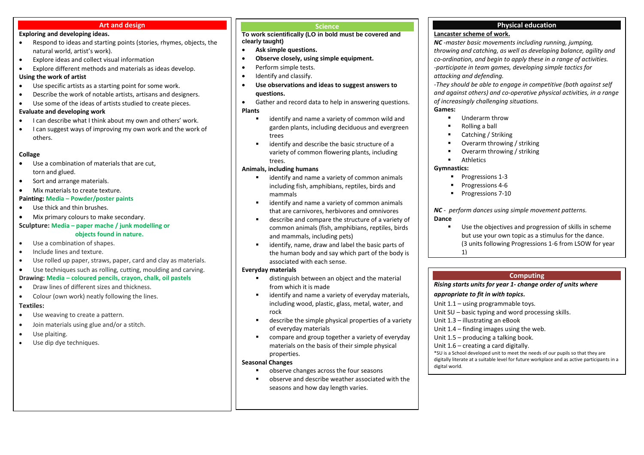#### **Art and design**

#### **Exploring and developing ideas.**

- Respond to ideas and starting points (stories, rhymes, objects, the natural world, artist's work).
- Explore ideas and collect visual information
- Explore different methods and materials as ideas develop. **Using the work of artist**
- Use specific artists as a starting point for some work.
- Describe the work of notable artists, artisans and designers.
- Use some of the ideas of artists studied to create pieces.

#### **Evaluate and developing work**

- I can describe what I think about my own and others' work.
- I can suggest ways of improving my own work and the work of others.

#### **Collage**

- Use a combination of materials that are cut, torn and glued.
- Sort and arrange materials.
- Mix materials to create texture.

#### **Painting: Media – Powder/poster paints**

- Use thick and thin brushes.
- Mix primary colours to make secondary.

# **Sculpture: Media – paper mache / junk modelling or**

- **objects found in nature.**
- Use a combination of shapes.
- **•** Include lines and texture.
- Use rolled up paper, straws, paper, card and clay as materials.
- Use techniques such as rolling, cutting, moulding and carving.

### **Drawing: Media – coloured pencils, crayon, chalk, oil pastels**

- Draw lines of different sizes and thickness.
- Colour (own work) neatly following the lines.

#### **Textiles:**

- Use weaving to create a pattern.
- Join materials using glue and/or a stitch.
- Use plaiting.
- Use dip dye techniques.

#### **Science**

**To work scientifically (LO in bold must be covered and clearly taught)** 

- **Ask simple questions.**
- **Observe closely, using simple equipment.**
- Perform simple tests.
- Identify and classify.
- **Use observations and ideas to suggest answers to questions.**
- Gather and record data to help in answering questions. **Plants** 
	- identify and name a variety of common wild and garden plants, including deciduous and evergreen trees
	- identify and describe the basic structure of a variety of common flowering plants, including trees.

### **Animals, including humans**

- identify and name a variety of common animals including fish, amphibians, reptiles, birds and mammals
- identify and name a variety of common animals that are carnivores, herbivores and omnivores
- describe and compare the structure of a variety of common animals (fish, amphibians, reptiles, birds and mammals, including pets)
- identify, name, draw and label the basic parts of the human body and say which part of the body is associated with each sense.

#### **Everyday materials**

- distinguish between an object and the material from which it is made
- identify and name a variety of everyday materials, including wood, plastic, glass, metal, water, and rock
- describe the simple physical properties of a variety of everyday materials
- **EXEDED FIGHTS COMPARE A** compare and group together a variety of everyday materials on the basis of their simple physical properties.

#### **Seasonal Changes**

- observe changes across the four seasons
- observe and describe weather associated with the seasons and how day length varies.

# **Physical education**

# **Lancaster scheme of work.**

*NC -master basic movements including running, jumping, throwing and catching, as well as developing balance, agility and co-ordination, and begin to apply these in a range of activities. -participate in team games, developing simple tactics for attacking and defending.* 

*-They should be able to engage in competitive (both against self and against others) and co-operative physical activities, in a range of increasingly challenging situations.*

### **Games:**

- **Underarm throw**
- Rolling a ball
- Catching / Striking
- Overarm throwing / striking
- $\blacksquare$  Overarm throwing / striking

# Athletics

# **Gymnastics:**

- **Progressions 1-3**
- **Progressions 4-6**
- **Progressions 7-10**

*NC - perform dances using simple movement patterns.*  **Dance** 

 $\blacksquare$  Use the objectives and progression of skills in scheme but use your own topic as a stimulus for the dance. (3 units following Progressions 1-6 from LSOW for year 1)

# **Computing**

*Rising starts units for year 1- change order of units where* 

#### *appropriate to fit in with topics.*

Unit 1.1 – using programmable toys.

Unit SU – basic typing and word processing skills.

Unit 1.3 – illustrating an eBook

- Unit 1.4 finding images using the web.
- Unit 1.5 producing a talking book.
- Unit 1.6 creating a card digitally.

\*SU is a School developed unit to meet the needs of our pupils so that they are digitally literate at a suitable level for future workplace and as active participants in a digital world.